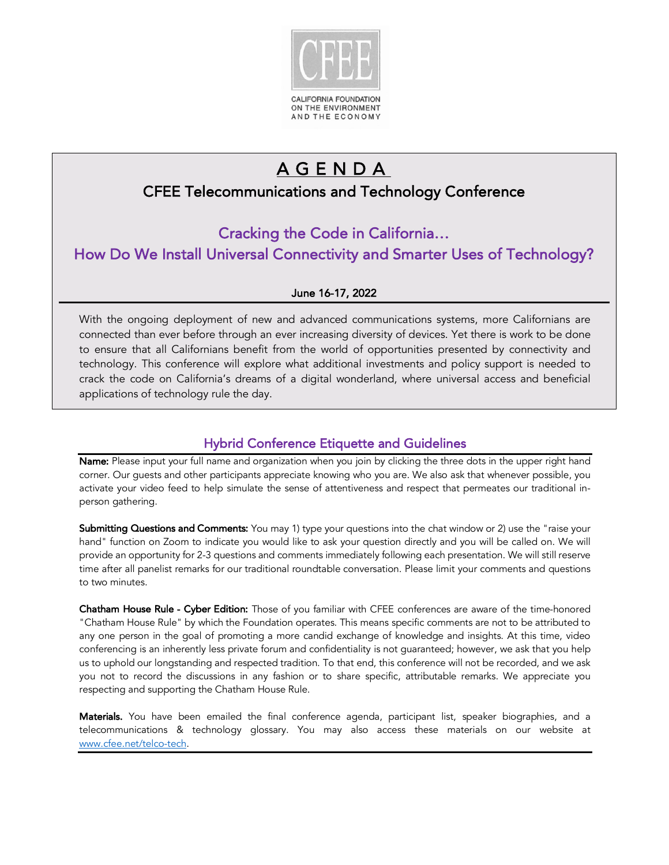

# AGENDA

## CFEE Telecommunications and Technology Conference

Cracking the Code in California… How Do We Install Universal Connectivity and Smarter Uses of Technology?

#### June 16-17, 2022

 With the ongoing deployment of new and advanced communications systems, more Californians are connected than ever before through an ever increasing diversity of devices. Yet there is work to be done to ensure that all Californians benefit from the world of opportunities presented by connectivity and technology. This conference will explore what additional investments and policy support is needed to crack the code on California's dreams of a digital wonderland, where universal access and beneficial applications of technology rule the day.

### Hybrid Conference Etiquette and Guidelines

Name: Please input your full name and organization when you join by clicking the three dots in the upper right hand corner. Our guests and other participants appreciate knowing who you are. We also ask that whenever possible, you activate your video feed to help simulate the sense of attentiveness and respect that permeates our traditional inperson gathering.

Submitting Questions and Comments: You may 1) type your questions into the chat window or 2) use the "raise your hand" function on Zoom to indicate you would like to ask your question directly and you will be called on. We will provide an opportunity for 2-3 questions and comments immediately following each presentation. We will still reserve time after all panelist remarks for our traditional roundtable conversation. Please limit your comments and questions to two minutes.

Chatham House Rule - Cyber Edition: Those of you familiar with CFEE conferences are aware of the time-honored "Chatham House Rule" by which the Foundation operates. This means specific comments are not to be attributed to any one person in the goal of promoting a more candid exchange of knowledge and insights. At this time, video conferencing is an inherently less private forum and confidentiality is not guaranteed; however, we ask that you help us to uphold our longstanding and respected tradition. To that end, this conference will not be recorded, and we ask you not to record the discussions in any fashion or to share specific, attributable remarks. We appreciate you respecting and supporting the Chatham House Rule.

Materials. You have been emailed the final conference agenda, participant list, speaker biographies, and a telecommunications & technology glossary. You may also access these materials on our website at www.cfee.net/telco-tech.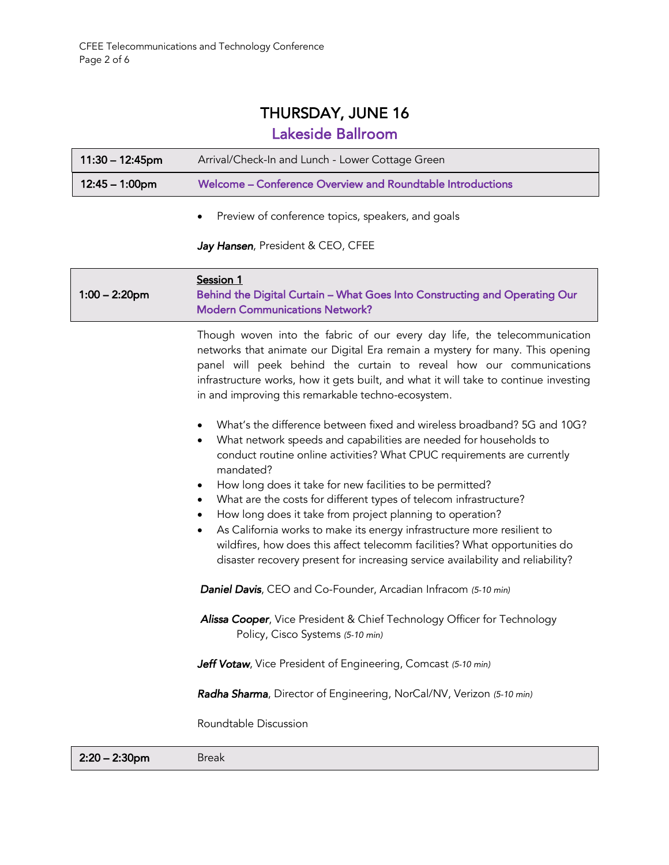# THURSDAY, JUNE 16

## Lakeside Ballroom

| $11:30 - 12:45$ pm       | Arrival/Check-In and Lunch - Lower Cottage Green           |
|--------------------------|------------------------------------------------------------|
| $12:45 - 1:00 \text{pm}$ | Welcome – Conference Overview and Roundtable Introductions |
|                          | Preview of conference topics, speakers, and goals          |

#### *Jay Hansen*, President & CEO, CFEE

| $1:00 - 2:20$ pm | Session 1<br>Behind the Digital Curtain - What Goes Into Constructing and Operating Our<br><b>Modern Communications Network?</b>                                                                                                                                                                                                                                                                                                                                                                                                                                                                                                                                                                                                                             |
|------------------|--------------------------------------------------------------------------------------------------------------------------------------------------------------------------------------------------------------------------------------------------------------------------------------------------------------------------------------------------------------------------------------------------------------------------------------------------------------------------------------------------------------------------------------------------------------------------------------------------------------------------------------------------------------------------------------------------------------------------------------------------------------|
|                  | Though woven into the fabric of our every day life, the telecommunication<br>networks that animate our Digital Era remain a mystery for many. This opening<br>panel will peek behind the curtain to reveal how our communications<br>infrastructure works, how it gets built, and what it will take to continue investing<br>in and improving this remarkable techno-ecosystem.                                                                                                                                                                                                                                                                                                                                                                              |
|                  | What's the difference between fixed and wireless broadband? 5G and 10G?<br>$\bullet$<br>What network speeds and capabilities are needed for households to<br>$\bullet$<br>conduct routine online activities? What CPUC requirements are currently<br>mandated?<br>How long does it take for new facilities to be permitted?<br>$\bullet$<br>What are the costs for different types of telecom infrastructure?<br>$\bullet$<br>How long does it take from project planning to operation?<br>$\bullet$<br>As California works to make its energy infrastructure more resilient to<br>$\bullet$<br>wildfires, how does this affect telecomm facilities? What opportunities do<br>disaster recovery present for increasing service availability and reliability? |
|                  | Daniel Davis, CEO and Co-Founder, Arcadian Infracom (5-10 min)                                                                                                                                                                                                                                                                                                                                                                                                                                                                                                                                                                                                                                                                                               |
|                  | Alissa Cooper, Vice President & Chief Technology Officer for Technology<br>Policy, Cisco Systems (5-10 min)                                                                                                                                                                                                                                                                                                                                                                                                                                                                                                                                                                                                                                                  |
|                  | Jeff Votaw, Vice President of Engineering, Comcast (5-10 min)                                                                                                                                                                                                                                                                                                                                                                                                                                                                                                                                                                                                                                                                                                |
|                  | Radha Sharma, Director of Engineering, NorCal/NV, Verizon (5-10 min)                                                                                                                                                                                                                                                                                                                                                                                                                                                                                                                                                                                                                                                                                         |
|                  | Roundtable Discussion                                                                                                                                                                                                                                                                                                                                                                                                                                                                                                                                                                                                                                                                                                                                        |

 2:20 – 2:30pm Break

15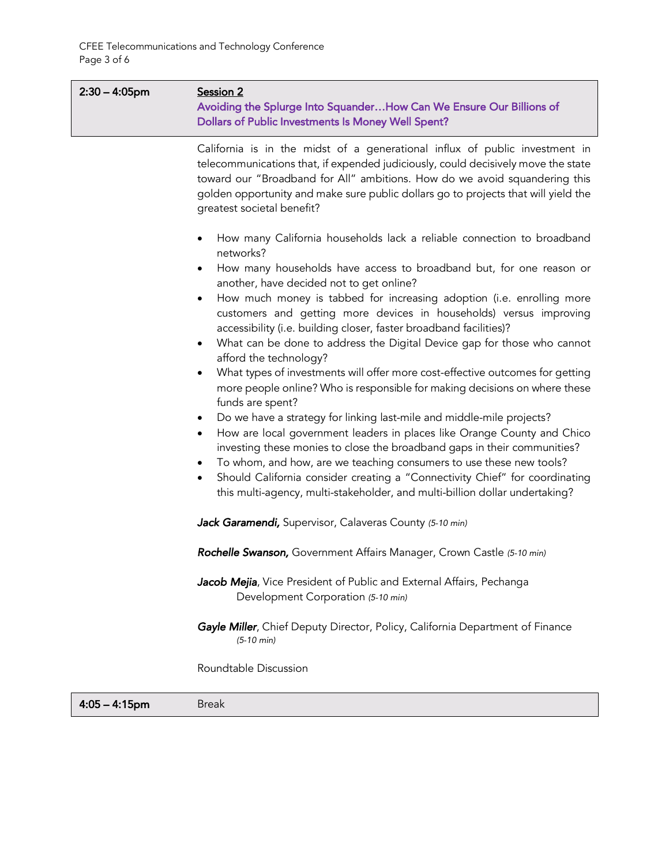15

| $2:30 - 4:05$ pm | Session 2<br>Avoiding the Splurge Into Squander How Can We Ensure Our Billions of<br>Dollars of Public Investments Is Money Well Spent?                                                                                                                                                                                                                                                                                                                                                                                                                                                                                                                                                                                                                                                                                                                                                                                                                                                                                                                                                                                                                                                                                                                                                  |
|------------------|------------------------------------------------------------------------------------------------------------------------------------------------------------------------------------------------------------------------------------------------------------------------------------------------------------------------------------------------------------------------------------------------------------------------------------------------------------------------------------------------------------------------------------------------------------------------------------------------------------------------------------------------------------------------------------------------------------------------------------------------------------------------------------------------------------------------------------------------------------------------------------------------------------------------------------------------------------------------------------------------------------------------------------------------------------------------------------------------------------------------------------------------------------------------------------------------------------------------------------------------------------------------------------------|
|                  | California is in the midst of a generational influx of public investment in<br>telecommunications that, if expended judiciously, could decisively move the state<br>toward our "Broadband for All" ambitions. How do we avoid squandering this<br>golden opportunity and make sure public dollars go to projects that will yield the<br>greatest societal benefit?                                                                                                                                                                                                                                                                                                                                                                                                                                                                                                                                                                                                                                                                                                                                                                                                                                                                                                                       |
|                  | How many California households lack a reliable connection to broadband<br>$\bullet$<br>networks?<br>How many households have access to broadband but, for one reason or<br>$\bullet$<br>another, have decided not to get online?<br>How much money is tabbed for increasing adoption (i.e. enrolling more<br>$\bullet$<br>customers and getting more devices in households) versus improving<br>accessibility (i.e. building closer, faster broadband facilities)?<br>What can be done to address the Digital Device gap for those who cannot<br>$\bullet$<br>afford the technology?<br>What types of investments will offer more cost-effective outcomes for getting<br>$\bullet$<br>more people online? Who is responsible for making decisions on where these<br>funds are spent?<br>Do we have a strategy for linking last-mile and middle-mile projects?<br>٠<br>How are local government leaders in places like Orange County and Chico<br>$\bullet$<br>investing these monies to close the broadband gaps in their communities?<br>To whom, and how, are we teaching consumers to use these new tools?<br>Should California consider creating a "Connectivity Chief" for coordinating<br>$\bullet$<br>this multi-agency, multi-stakeholder, and multi-billion dollar undertaking? |
|                  | Jack Garamendi, Supervisor, Calaveras County (5-10 min)                                                                                                                                                                                                                                                                                                                                                                                                                                                                                                                                                                                                                                                                                                                                                                                                                                                                                                                                                                                                                                                                                                                                                                                                                                  |
|                  | Rochelle Swanson, Government Affairs Manager, Crown Castle (5-10 min)                                                                                                                                                                                                                                                                                                                                                                                                                                                                                                                                                                                                                                                                                                                                                                                                                                                                                                                                                                                                                                                                                                                                                                                                                    |
|                  | Jacob Mejia, Vice President of Public and External Affairs, Pechanga<br>Development Corporation (5-10 min)                                                                                                                                                                                                                                                                                                                                                                                                                                                                                                                                                                                                                                                                                                                                                                                                                                                                                                                                                                                                                                                                                                                                                                               |
|                  | Gayle Miller, Chief Deputy Director, Policy, California Department of Finance<br>$(5-10 \text{ min})$                                                                                                                                                                                                                                                                                                                                                                                                                                                                                                                                                                                                                                                                                                                                                                                                                                                                                                                                                                                                                                                                                                                                                                                    |
|                  | Roundtable Discussion                                                                                                                                                                                                                                                                                                                                                                                                                                                                                                                                                                                                                                                                                                                                                                                                                                                                                                                                                                                                                                                                                                                                                                                                                                                                    |
| $4:05 - 4:15$ pm | <b>Break</b>                                                                                                                                                                                                                                                                                                                                                                                                                                                                                                                                                                                                                                                                                                                                                                                                                                                                                                                                                                                                                                                                                                                                                                                                                                                                             |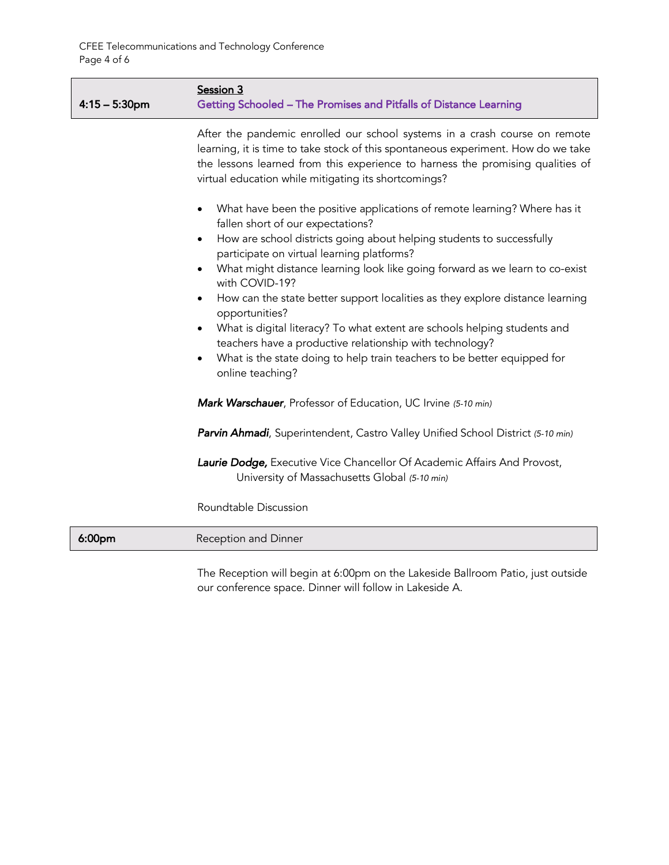| $4:15 - 5:30$ pm   | Session 3<br>Getting Schooled - The Promises and Pitfalls of Distance Learning                                                                                                                                                                                                                            |
|--------------------|-----------------------------------------------------------------------------------------------------------------------------------------------------------------------------------------------------------------------------------------------------------------------------------------------------------|
|                    | After the pandemic enrolled our school systems in a crash course on remote<br>learning, it is time to take stock of this spontaneous experiment. How do we take<br>the lessons learned from this experience to harness the promising qualities of<br>virtual education while mitigating its shortcomings? |
|                    | What have been the positive applications of remote learning? Where has it<br>$\bullet$<br>fallen short of our expectations?<br>How are school districts going about helping students to successfully<br>$\bullet$                                                                                         |
|                    | participate on virtual learning platforms?<br>What might distance learning look like going forward as we learn to co-exist<br>$\bullet$<br>with COVID-19?                                                                                                                                                 |
|                    | How can the state better support localities as they explore distance learning<br>$\bullet$<br>opportunities?                                                                                                                                                                                              |
|                    | What is digital literacy? To what extent are schools helping students and<br>teachers have a productive relationship with technology?<br>What is the state doing to help train teachers to be better equipped for<br>online teaching?                                                                     |
|                    | Mark Warschauer, Professor of Education, UC Irvine (5-10 min)                                                                                                                                                                                                                                             |
|                    | Parvin Ahmadi, Superintendent, Castro Valley Unified School District (5-10 min)                                                                                                                                                                                                                           |
|                    | Laurie Dodge, Executive Vice Chancellor Of Academic Affairs And Provost,<br>University of Massachusetts Global (5-10 min)                                                                                                                                                                                 |
|                    | Roundtable Discussion                                                                                                                                                                                                                                                                                     |
| 6:00 <sub>pm</sub> | Reception and Dinner                                                                                                                                                                                                                                                                                      |
|                    |                                                                                                                                                                                                                                                                                                           |

The Reception will begin at 6:00pm on the Lakeside Ballroom Patio, just outside our conference space. Dinner will follow in Lakeside A.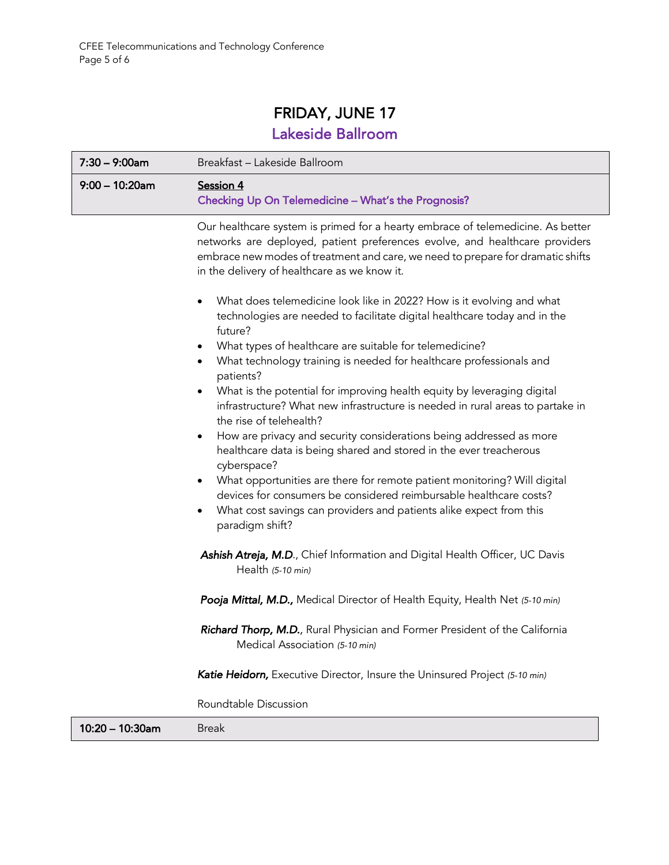## FRIDAY, JUNE 17 Lakeside Ballroom

| $7:30 - 9:00$ am  | Breakfast - Lakeside Ballroom                                                                                                                                                                                                                                                                     |
|-------------------|---------------------------------------------------------------------------------------------------------------------------------------------------------------------------------------------------------------------------------------------------------------------------------------------------|
| $9:00 - 10:20$ am | Session 4<br>Checking Up On Telemedicine - What's the Prognosis?                                                                                                                                                                                                                                  |
|                   | Our healthcare system is primed for a hearty embrace of telemedicine. As better<br>networks are deployed, patient preferences evolve, and healthcare providers<br>embrace new modes of treatment and care, we need to prepare for dramatic shifts<br>in the delivery of healthcare as we know it. |
|                   | What does telemedicine look like in 2022? How is it evolving and what<br>technologies are needed to facilitate digital healthcare today and in the<br>future?                                                                                                                                     |
|                   | What types of healthcare are suitable for telemedicine?<br>$\bullet$<br>What technology training is needed for healthcare professionals and<br>$\bullet$<br>patients?                                                                                                                             |
|                   | What is the potential for improving health equity by leveraging digital<br>infrastructure? What new infrastructure is needed in rural areas to partake in<br>the rise of telehealth?                                                                                                              |
|                   | How are privacy and security considerations being addressed as more<br>$\bullet$<br>healthcare data is being shared and stored in the ever treacherous<br>cyberspace?                                                                                                                             |
|                   | What opportunities are there for remote patient monitoring? Will digital<br>$\bullet$<br>devices for consumers be considered reimbursable healthcare costs?<br>What cost savings can providers and patients alike expect from this<br>$\bullet$<br>paradigm shift?                                |
|                   | Ashish Atreja, M.D., Chief Information and Digital Health Officer, UC Davis<br>Health (5-10 min)                                                                                                                                                                                                  |
|                   | Pooja Mittal, M.D., Medical Director of Health Equity, Health Net (5-10 min)                                                                                                                                                                                                                      |
|                   | Richard Thorp, M.D., Rural Physician and Former President of the California<br>Medical Association (5-10 min)                                                                                                                                                                                     |
|                   | Katie Heidorn, Executive Director, Insure the Uninsured Project (5-10 min)                                                                                                                                                                                                                        |
|                   | Roundtable Discussion                                                                                                                                                                                                                                                                             |

10:20 - 10:30am Break

15